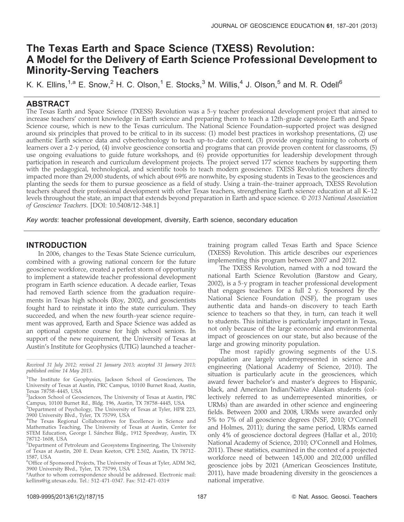# The Texas Earth and Space Science (TXESS) Revolution: A Model for the Delivery of Earth Science Professional Development to Minority-Serving Teachers

K. K. Ellins, <sup>1,a</sup> E. Snow, <sup>2</sup> H. C. Olson, <sup>1</sup> E. Stocks, <sup>3</sup> M. Willis, <sup>4</sup> J. Olson, <sup>5</sup> and M. R. Odell<sup>6</sup>

# ABSTRACT

The Texas Earth and Space Science (TXESS) Revolution was a 5-y teacher professional development project that aimed to increase teachers' content knowledge in Earth science and preparing them to teach a 12th-grade capstone Earth and Space Science course, which is new to the Texas curriculum. The National Science Foundation–supported project was designed around six principles that proved to be critical to in its success: (1) model best practices in workshop presentations, (2) use authentic Earth science data and cybertechnology to teach up-to-date content, (3) provide ongoing training to cohorts of learners over a 2-y period, (4) involve geoscience consortia and programs that can provide proven content for classrooms, (5) use ongoing evaluations to guide future workshops, and (6) provide opportunities for leadership development through participation in research and curriculum development projects. The project served 177 science teachers by supporting them with the pedagogical, technological, and scientific tools to teach modern geoscience. TXESS Revolution teachers directly impacted more than 29,000 students, of which about 69% are nonwhite, by exposing students in Texas to the geosciences and planting the seeds for them to pursue geoscience as a field of study. Using a train-the-trainer approach, TXESS Revolution teachers shared their professional development with other Texas teachers, strengthening Earth science education at all K–12 levels throughout the state, an impact that extends beyond preparation in Earth and space science. © 2013 N*ational Association* of Geoscience Teachers. [DOI: 10.5408/12-348.1]

Key words: teacher professional development, diversity, Earth science, secondary education

## INTRODUCTION

In 2006, changes to the Texas State Science curriculum, combined with a growing national concern for the future geoscience workforce, created a perfect storm of opportunity to implement a statewide teacher professional development program in Earth science education. A decade earlier, Texas had removed Earth science from the graduation requirements in Texas high schools (Roy, 2002), and geoscientists fought hard to reinstate it into the state curriculum. They succeeded, and when the new fourth-year science requirement was approved, Earth and Space Science was added as an optional capstone course for high school seniors. In support of the new requirement, the University of Texas at Austin's Institute for Geophysics (UTIG) launched a teacher-

Received 31 July 2012; revised 21 January 2013; accepted 31 January 2013; published online 14 May 2013.

<sup>2</sup>Jackson School of Geosciences, The University of Texas at Austin, PRC Campus, 10100 Burnet Rd., Bldg. 196, Austin, TX 78758-4445, USA

- <sup>4</sup>The Texas Regional Collaboratives for Excellence in Science and Mathematics Teaching, The University of Texas at Austin, Center for STEM Education, George I. Sánchez Bldg., 1912 Speedway, Austin, TX 78712-1608, USA
- <sup>5</sup>Department of Petroleum and Geosystems Engineering, The University of Texas at Austin, 200 E. Dean Keeton, CPE 2.502, Austin, TX 78712- 1587, USA

training program called Texas Earth and Space Science (TXESS) Revolution. This article describes our experiences implementing this program between 2007 and 2012.

The TXESS Revolution, named with a nod toward the national Earth Science Revolution (Barstow and Geary, 2002), is a 5-y program in teacher professional development that engages teachers for a full 2 y. Sponsored by the National Science Foundation (NSF), the program uses authentic data and hands-on discovery to teach Earth science to teachers so that they, in turn, can teach it well to students. This initiative is particularly important in Texas, not only because of the large economic and environmental impact of geosciences on our state, but also because of the large and growing minority population.

The most rapidly growing segments of the U.S. population are largely underrepresented in science and engineering (National Academy of Science, 2010). The situation is particularly acute in the geosciences, which award fewer bachelor's and master's degrees to Hispanic, black, and American Indian/Native Alaskan students (collectively referred to as underrepresented minorities, or URMs) than are awarded in other science and engineering fields. Between 2000 and 2008, URMs were awarded only 5% to 7% of all geoscience degrees (NSF, 2010; O'Connell and Holmes, 2011); during the same period, URMs earned only 4% of geoscience doctoral degrees (Hallar et al., 2010; National Academy of Science, 2010; O'Connell and Holmes, 2011). These statistics, examined in the context of a projected workforce need of between 145,000 and 202,000 unfilled geoscience jobs by 2021 (American Geosciences Institute, 2011), have made broadening diversity in the geosciences a national imperative.

<sup>&</sup>lt;sup>1</sup>The Institute for Geophysics, Jackson School of Geosciences, The University of Texas at Austin, PRC Campus, 10100 Burnet Road, Austin, Texas 78758-4445, USA

<sup>&</sup>lt;sup>3</sup>Department of Psychology, The University of Texas at Tyler, HPR 223, 3900 University Blvd., Tyler, TX 75799, USA

<sup>6</sup> Office of Sponsored Projects, The University of Texas at Tyler, ADM 362, 3900 University Blvd., Tyler, TX 75799, USA

<sup>&</sup>lt;sup>a</sup> Author to whom correspondence should be addressed. Electronic mail: kellins@ig.utexas.edu. Tel.: 512-471-0347. Fax: 512-471-0319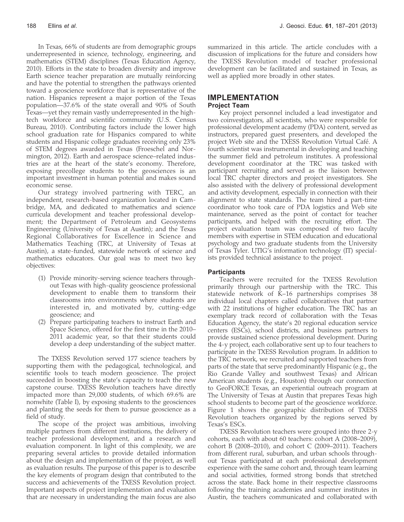In Texas, 66% of students are from demographic groups underrepresented in science, technology, engineering, and mathematics (STEM) disciplines (Texas Education Agency, 2010). Efforts in the state to broaden diversity and improve Earth science teacher preparation are mutually reinforcing and have the potential to strengthen the pathways oriented toward a geoscience workforce that is representative of the nation. Hispanics represent a major portion of the Texas population—37.6% of the state overall and 90% of South Texas—yet they remain vastly underrepresented in the hightech workforce and scientific community (U.S. Census Bureau, 2010). Contributing factors include the lower high school graduation rate for Hispanics compared to white students and Hispanic college graduates receiving only 23% of STEM degrees awarded in Texas (Froeschel and Normington, 2012). Earth and aerospace science–related industries are at the heart of the state's economy. Therefore, exposing precollege students to the geosciences is an important investment in human potential and makes sound economic sense.

Our strategy involved partnering with TERC, an independent, research-based organization located in Cambridge, MA, and dedicated to mathematics and science curricula development and teacher professional development; the Department of Petroleum and Geosystems Engineering (University of Texas at Austin); and the Texas Regional Collaboratives for Excellence in Science and Mathematics Teaching (TRC, at University of Texas at Austin), a state-funded, statewide network of science and mathematics educators. Our goal was to meet two key objectives:

- (1) Provide minority-serving science teachers throughout Texas with high-quality geoscience professional development to enable them to transform their classrooms into environments where students are interested in, and motivated by, cutting-edge geoscience; and
- (2) Prepare participating teachers to instruct Earth and Space Science, offered for the first time in the 2010– 2011 academic year, so that their students could develop a deep understanding of the subject matter.

The TXESS Revolution served 177 science teachers by supporting them with the pedagogical, technological, and scientific tools to teach modern geoscience. The project succeeded in boosting the state's capacity to teach the new capstone course. TXESS Revolution teachers have directly impacted more than 29,000 students, of which 69.6% are nonwhite (Table I), by exposing students to the geosciences and planting the seeds for them to pursue geoscience as a field of study.

The scope of the project was ambitious, involving multiple partners from different institutions, the delivery of teacher professional development, and a research and evaluation component. In light of this complexity, we are preparing several articles to provide detailed information about the design and implementation of the project, as well as evaluation results. The purpose of this paper is to describe the key elements of program design that contributed to the success and achievements of the TXESS Revolution project. Important aspects of project implementation and evaluation that are necessary in understanding the main focus are also

summarized in this article. The article concludes with a discussion of implications for the future and considers how the TXESS Revolution model of teacher professional development can be facilitated and sustained in Texas, as well as applied more broadly in other states.

## IMPLEMENTATION Project Team

Key project personnel included a lead investigator and two coinvestigators, all scientists, who were responsible for professional development academy (PDA) content, served as instructors, prepared guest presenters, and developed the project Web site and the TXESS Revolution Virtual Café. A fourth scientist was instrumental in developing and teaching the summer field and petroleum institutes. A professional development coordinator at the TRC was tasked with participant recruiting and served as the liaison between local TRC chapter directors and project investigators. She also assisted with the delivery of professional development and activity development, especially in connection with their alignment to state standards. The team hired a part-time coordinator who took care of PDA logistics and Web site maintenance, served as the point of contact for teacher participants, and helped with the recruiting effort. The project evaluation team was composed of two faculty members with expertise in STEM education and educational psychology and two graduate students from the University of Texas Tyler. UTIG's information technology (IT) specialists provided technical assistance to the project.

# **Participants**

Teachers were recruited for the TXESS Revolution primarily through our partnership with the TRC. This statewide network of K–16 partnerships comprises 38 individual local chapters called collaboratives that partner with 22 institutions of higher education. The TRC has an exemplary track record of collaboration with the Texas Education Agency, the state's 20 regional education service centers (ESCs), school districts, and business partners to provide sustained science professional development. During the 4-y project, each collaborative sent up to four teachers to participate in the TXESS Revolution program. In addition to the TRC network, we recruited and supported teachers from parts of the state that serve predominantly Hispanic (e.g., the Rio Grande Valley and southwest Texas) and African American students (e.g., Houston) through our connection to GeoFORCE Texas, an experiential outreach program at The University of Texas at Austin that prepares Texas high school students to become part of the geoscience workforce. Figure 1 shows the geographic distribution of TXESS Revolution teachers organized by the regions served by Texas's ESCs.

TXESS Revolution teachers were grouped into three 2-y cohorts, each with about 60 teachers: cohort A (2008–2009), cohort B (2008–2010), and cohort C (2009–2011). Teachers from different rural, suburban, and urban schools throughout Texas participated at each professional development experience with the same cohort and, through team learning and social activities, formed strong bonds that stretched across the state. Back home in their respective classrooms following the training academies and summer institutes in Austin, the teachers communicated and collaborated with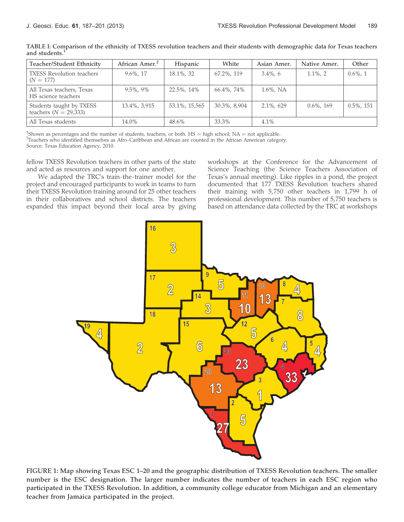| Teacher/Student Ethnicity                           | African Amer. <sup>2</sup> | Hispanic      | White              | Asian Amer.   | Native Amer.  | Other         |
|-----------------------------------------------------|----------------------------|---------------|--------------------|---------------|---------------|---------------|
| <b>TXESS Revolution teachers</b><br>$(N = 177)$     | $9.6\%$ , 17               | 18.1%, 32     | 67.2%, 119         | $3.4\%$ , 6   | $1.1\%$ , 2   | $0.6\%$ , 1   |
| All Texas teachers, Texas<br>HS science teachers    | $9.5\%$ , 9%               | 22.5%, 14%    | 66.4%, 74%         | $1.6\%$ , NA  |               |               |
| Students taught by TXESS<br>teachers $(N = 29,333)$ | 13.4%, 3,915               | 53.1%, 15,565 | $30.3\%$ , $8.904$ | $2.1\%$ , 629 | $0.6\%$ , 169 | $0.5\%$ , 151 |
| All Texas students                                  | $14.0\%$                   | 48.6%         | 33.3%              | $4.1\%$       |               |               |

TABLE I: Comparison of the ethnicity of TXESS revolution teachers and their students with demographic data for Texas teachers and students.<sup>1</sup>

<sup>1</sup>Shown as percentages and the number of students, teachers, or both.  $HS =$  high school;  $NA =$  not applicable. <sup>2</sup>Leachers who identified themselves as Afro-Caribbean and African are counted in the African American categor

 $T$ Eachers who identified themselves as Afro-Caribbean and African are counted in the African American category.

Source: Texas Education Agency, 2010.

fellow TXESS Revolution teachers in other parts of the state and acted as resources and support for one another.

We adapted the TRC's train-the-trainer model for the project and encouraged participants to work in teams to turn their TXESS Revolution training around for 25 other teachers in their collaboratives and school districts. The teachers expanded this impact beyond their local area by giving workshops at the Conference for the Advancement of Science Teaching (the Science Teachers Association of Texas's annual meeting). Like ripples in a pond, the project documented that 177 TXESS Revolution teachers shared their training with 5,750 other teachers in 1,799 h of professional development. This number of 5,750 teachers is based on attendance data collected by the TRC at workshops



FIGURE 1: Map showing Texas ESC 1–20 and the geographic distribution of TXESS Revolution teachers. The smaller number is the ESC designation. The larger number indicates the number of teachers in each ESC region who participated in the TXESS Revolution. In addition, a community college educator from Michigan and an elementary teacher from Jamaica participated in the project.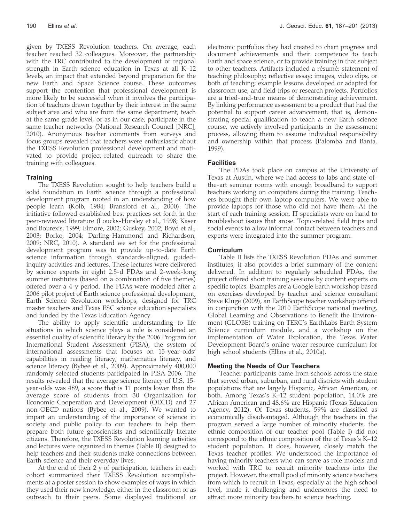given by TXESS Revolution teachers. On average, each teacher reached 32 colleagues. Moreover, the partnership with the TRC contributed to the development of regional strength in Earth science education in Texas at all K–12 levels, an impact that extended beyond preparation for the new Earth and Space Science course. These outcomes support the contention that professional development is more likely to be successful when it involves the participation of teachers drawn together by their interest in the same subject area and who are from the same department, teach at the same grade level, or as in our case, participate in the same teacher networks (National Research Council [NRC], 2010). Anonymous teacher comments from surveys and focus groups revealed that teachers were enthusiastic about the TXESS Revolution professional development and motivated to provide project-related outreach to share the training with colleagues.

## **Training**

The TXESS Revolution sought to help teachers build a solid foundation in Earth science through a professional development program rooted in an understanding of how people learn (Kolb, 1984; Bransford et al., 2000). The initiative followed established best practices set forth in the peer-reviewed literature (Loucks-Horsley et al., 1998; Kaser and Bourexis, 1999; Elmore, 2002; Guskey, 2002; Boyd et al., 2003; Borko, 2004; Darling-Hammond and Richardson, 2009; NRC, 2010). A standard we set for the professional development program was to provide up-to-date Earth science information through standards-aligned, guidedinquiry activities and lectures. These lectures were delivered by science experts in eight 2.5-d PDAs and 2-week-long summer institutes (based on a combination of five themes) offered over a 4-y period. The PDAs were modeled after a 2006 pilot project of Earth science professional development, Earth Science Revolution workshops, designed for TRC master teachers and Texas ESC science education specialists and funded by the Texas Education Agency.

The ability to apply scientific understanding to life situations in which science plays a role is considered an essential quality of scientific literacy by the 2006 Program for International Student Assessment (PISA), the system of international assessments that focuses on 15-year-olds' capabilities in reading literacy, mathematics literacy, and science literacy (Bybee et al., 2009). Approximately 400,000 randomly selected students participated in PISA 2006. The results revealed that the average science literacy of U.S. 15 year-olds was 489, a score that is 11 points lower than the average score of students from 30 Organization for Economic Cooperation and Development (OECD) and 27 non-OECD nations (Bybee et al., 2009). We wanted to impart an understanding of the importance of science in society and public policy to our teachers to help them prepare both future geoscientists and scientifically literate citizens. Therefore, the TXESS Revolution learning activities and lectures were organized in themes (Table II) designed to help teachers and their students make connections between Earth science and their everyday lives.

At the end of their 2 y of participation, teachers in each cohort summarized their TXESS Revolution accomplishments at a poster session to show examples of ways in which they used their new knowledge, either in the classroom or as outreach to their peers. Some displayed traditional or

electronic portfolios they had created to chart progress and document achievements and their competence to teach Earth and space science, or to provide training in that subject to other teachers. Artifacts included a résumé; statement of teaching philosophy; reflective essay; images, video clips, or both of teaching; example lessons developed or adapted for classroom use; and field trips or research projects. Portfolios are a tried-and-true means of demonstrating achievement. By linking performance assessment to a product that had the potential to support career advancement, that is, demonstrating special qualification to teach a new Earth science course, we actively involved participants in the assessment process, allowing them to assume individual responsibility and ownership within that process (Palomba and Banta, 1999).

## **Facilities**

The PDAs took place on campus at the University of Texas at Austin, where we had access to labs and state-ofthe-art seminar rooms with enough broadband to support teachers working on computers during the training. Teachers brought their own laptop computers. We were able to provide laptops for those who did not have them. At the start of each training session, IT specialists were on hand to troubleshoot issues that arose. Topic-related field trips and social events to allow informal contact between teachers and experts were integrated into the summer program.

## **Curriculum**

Table II lists the TXESS Revolution PDAs and summer institutes; it also provides a brief summary of the content delivered. In addition to regularly scheduled PDAs, the project offered short training sessions by content experts on specific topics. Examples are a Google Earth workshop based on exercises developed by teacher and science consultant Steve Kluge (2009), an EarthScope teacher workshop offered in conjunction with the 2010 EarthScope national meeting, Global Learning and Observations to Benefit the Environment (GLOBE) training on TERC's EarthLabs Earth System Science curriculum module, and a workshop on the implementation of Water Exploration, the Texas Water Development Board's online water resource curriculum for high school students (Ellins et al., 2010a).

# Meeting the Needs of Our Teachers

Teacher participants came from schools across the state that served urban, suburban, and rural districts with student populations that are largely Hispanic, African American, or both. Among Texas's K–12 student population, 14.0% are African American and 48.6% are Hispanic (Texas Education Agency, 2012). Of Texas students, 59% are classified as economically disadvantaged. Although the teachers in the program served a large number of minority students, the ethnic composition of our teacher pool (Table I) did not correspond to the ethnic composition of the of Texas's K–12 student population. It does, however, closely match the Texas teacher profiles. We understood the importance of having minority teachers who can serve as role models and worked with TRC to recruit minority teachers into the project. However, the small pool of minority science teachers from which to recruit in Texas, especially at the high school level, made it challenging and underscores the need to attract more minority teachers to science teaching.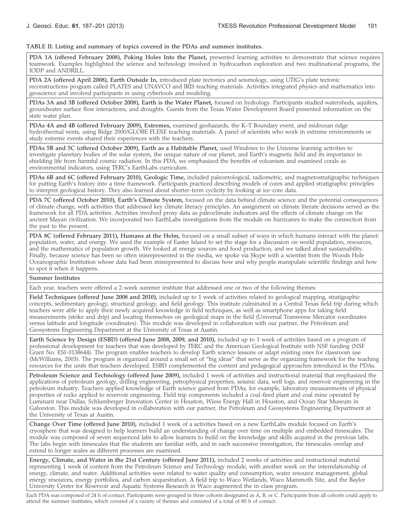#### TABLE II: Listing and summary of topics covered in the PDAs and summer institutes.

PDA 1A (offered February 2008), Poking Holes Into the Planet, presented learning activities to demonstrate that science requires teamwork. Examples highlighted the science and technology involved in hydrocarbon exploration and two multinational programs, the IODP and ANDRILL.

PDA 2A (offered April 2008), Earth Outside In, introduced plate tectonics and seismology, using UTIG's plate tectonic reconstructions program called PLATES and UNAVCO and IRIS teaching materials. Activities integrated physics and mathematics into geoscience and involved participants in using cybertools and modeling.

PDAs 3A and 3B (offered October 2008), Earth is the Water Planet, focused on hydrology. Participants studied watersheds, aquifers, groundwater surface flow interactions, and droughts. Guests from the Texas Water Development Board presented information on the state water plan.

PDAs 4A and 4B (offered February 2009), Extremes, examined geohazards, the K–T Boundary event, and midocean ridge hydrothermal vents, using Ridge 2000/GLOBE FLEXE teaching materials. A panel of scientists who work in extreme environments or study extreme events shared their experiences with the teachers.

PDAs 5B and 5C (offered October 2009), Earth as a Habitable Planet, used Windows to the Universe learning activities to investigate planetary bodies of the solar system, the unique nature of our planet, and Earth's magnetic field and its importance in shielding life from harmful cosmic radiation. In this PDA, we emphasized the benefits of volcanism and examined corals as environmental indicators, using TERC's EarthLabs curriculum.

PDAs 6B and 6C (offered February 2010), Geologic Time, included paleontological, radiometric, and magnetostratigraphic techniques for putting Earth's history into a time framework. Participants practiced describing models of cores and applied stratigraphic principles to interpret geological history. They also learned about shorter-term cyclicity by looking at ice-core data.

PDA 7C (offered October 2010), Earth's Climate System, focused on the data behind climate science and the potential consequences of climate change, with activities that addressed key climate literacy principles. An assignment on climate literate decisions served as the framework for all PDA activities. Activities involved proxy data as paleoclimate indicators and the effects of climate change on the ancient Mayan civilization. We incorporated two EarthLabs investigations from the module on hurricanes to make the connection from the past to the present.

PDA 8C (offered February 2011), Humans at the Helm, focused on a small subset of ways in which humans interact with the planet: population, water, and energy. We used the example of Easter Island to set the stage for a discussion on world population, resources, and the mathematics of population growth. We looked at energy sources and food production, and we talked about sustainability. Finally, because science has been so often misrepresented in the media, we spoke via Skype with a scientist from the Woods Hole Oceanographic Institution whose data had been misrepresented to discuss how and why people manipulate scientific findings and how to spot it when it happens.

#### Summer Institutes

Each year, teachers were offered a 2-week summer institute that addressed one or two of the following themes:

Field Techniques (offered June 2008 and 2010), included up to 1 week of activities related to geological mapping, stratigraphic concepts, sedimentary geology, structural geology, and field geology. This institute culminated in a Central Texas field trip during which teachers were able to apply their newly acquired knowledge in field techniques, as well as smartphone apps for taking field measurements (strike and drip) and locating themselves on geological maps in the field (Universal Transverse Mercator coordinates versus latitude and longitude coordinates). This module was developed in collaboration with our partner, the Petroleum and Geosystems Engineering Department at the University of Texas at Austin.

Earth Science by Design (ESBD) (offered June 2008, 2009, and 2010), included up to 1 week of activities based on a program of professional development for teachers that was developed by TERC and the American Geological Institute with NSF funding (NSF Grant No. ESI-0138644). The program enables teachers to develop Earth science lessons or adapt existing ones for classroom use (McWilliams, 2003). The program is organized around a small set of ''big ideas'' that serve as the organizing framework for the teaching resources for the units that teachers developed. ESBD complemented the content and pedagogical approaches introduced in the PDAs.

Petroleum Science and Technology (offered June 2009), included 1 week of activities and instructional material that emphasized the applications of petroleum geology, drilling engineering, petrophysical properties, seismic data, well logs, and reservoir engineering in the petroleum industry. Teachers applied knowledge of Earth science gained from PDAs, for example, laboratory measurements of physical properties of rocks applied to reservoir engineering. Field trip components included a coal-fired plant and coal mine operated by Luminant near Dallas, Schlumberger Innovation Center in Houston, Wiess Energy Hall in Houston, and Ocean Star Museum in Galveston. This module was developed in collaboration with our partner, the Petroleum and Geosystems Engineering Department at the University of Texas at Austin.

Change Over Time (offered June 2010), included 1 week of a activities based on a new EarthLabs module focused on Earth's cryosphere that was designed to help learners build an understanding of change over time on multiple and embedded timescales. The module was composed of seven sequenced labs to allow learners to build on the knowledge and skills acquired in the previous labs. The labs begin with timescales that the students are familiar with, and in each successive investigation, the timescales overlap and extend to longer scales as different processes are examined.

Energy, Climate, and Water in the 21st Century (offered June 2011), included 2 weeks of activities and instructional material representing 1 week of content from the Petroleum Science and Technology module, with another week on the interrelationship of energy, climate, and water. Additional activities were related to water quality and consumption, water resource management, global energy resources, energy portfolios, and carbon sequestration. A field trip to Waco Wetlands, Waco Mammoth Site, and the Baylor University Center for Reservoir and Aquatic Systems Research in Waco augmented the in-class program.

Each PDA was composed of 24 h of contact. Participants were grouped in three cohorts designated as A, B, or C. Participants from all cohorts could apply to attend the summer institutes, which covered of a variety of themes and consisted of a total of 80 h of contact.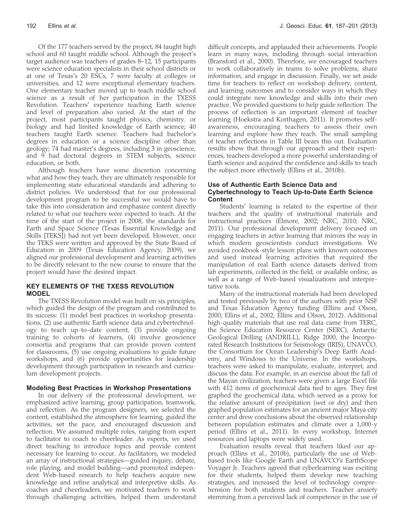Of the 177 teachers served by the project, 84 taught high school and 60 taught middle school. Although the project's target audience was teachers of grades 8–12, 15 participants were science education specialists in their school districts or at one of Texas's 20 ESCs, 7 were faculty at colleges or universities, and 12 were exceptional elementary teachers. One elementary teacher moved up to teach middle school science as a result of her participation in the TXESS Revolution. Teachers' experience teaching Earth science and level of preparation also varied. At the start of the project, most participants taught physics, chemistry. or biology and had limited knowledge of Earth science; 40 teachers taught Earth science. Teachers had bachelor's degrees in education or a science discipline other than geology; 74 had master's degrees, including 3 in geoscience,

education, or both. Although teachers have some discretion concerning what and how they teach, they are ultimately responsible for implementing state educational standards and adhering to district policies. We understood that for our professional development program to be successful we would have to take this into consideration and emphasize content directly related to what our teachers were expected to teach. At the time of the start of the project in 2008, the standards for Earth and Space Science (Texas Essential Knowledge and Skills [TEKS]) had not yet been developed. However, once the TEKS were written and approved by the State Board of Education in 2009 (Texas Education Agency, 2009), we aligned our professional development and learning activities to be directly relevant to the new course to ensure that the project would have the desired impact.

and 9 had doctoral degrees in STEM subjects, science

## KEY ELEMENTS OF THE TXESS REVOLUTION MODEL

The TXESS Revolution model was built on six principles, which guided the design of the program and contributed to its success: (1) model best practices in workshop presentations, (2) use authentic Earth science data and cybertechnology to teach up-to-date content, (3) provide ongoing training to cohorts of learners, (4) involve geoscience consortia and programs that can provide proven content for classrooms, (5) use ongoing evaluations to guide future workshops, and (6) provide opportunities for leadership development through participation in research and curriculum development projects.

## Modeling Best Practices in Workshop Presentations

In our delivery of the professional development, we emphasized active learning, group participation, teamwork, and reflection. As the program designers, we selected the content, established the atmosphere for learning, guided the activities, set the pace, and encouraged discussion and reflection. We assumed multiple roles, ranging from expert to facilitator to coach to cheerleader. As experts, we used direct teaching to introduce topics and provide content necessary for learning to occur. As facilitators, we modeled an array of instructional strategies—guided inquiry, debate, role playing, and model building—and promoted independent Web-based research to help teachers acquire new knowledge and refine analytical and interpretive skills. As coaches and cheerleaders, we motivated teachers to work through challenging activities, helped them understand

difficult concepts, and applauded their achievements. People learn in many ways, including through social interaction (Bransford et al., 2000). Therefore, we encouraged teachers to work collaboratively in teams to solve problems, share information, and engage in discussion. Finally, we set aside time for teachers to reflect on workshop delivery, content, and learning outcomes and to consider ways in which they could integrate new knowledge and skills into their own practice. We provided questions to help guide reflection. The process of reflection is an important element of teacher learning (Hoekstra and Korthagen, 2011). It promotes selfawareness, encouraging teachers to assess their own learning and explore how they teach. The small sampling of teacher reflections in Table III bears this out. Evaluation results show that through our approach and their experiences, teachers developed a more powerful understanding of Earth science and acquired the confidence and skills to teach the subject more effectively (Ellins et al., 2010b).

## Use of Authentic Earth Science Data and Cybertechnology to Teach Up-to-Date Earth Science Content

Students' learning is related to the expertise of their teachers and the quality of instructional materials and instructional practices (Elmore, 2002; NRC, 2010; NRC, 2011). Our professional development delivery focused on engaging teachers in active learning that mirrors the way in which modern geoscientists conduct investigations. We avoided cookbook-style lesson plans with known outcomes and used instead learning activities that required the manipulation of real Earth science datasets derived from lab experiments, collected in the field, or available online, as well as a range of Web-based visualizations and interpretative tools.

Many of the instructional materials had been developed and tested previously by two of the authors with prior NSF and Texas Education Agency funding (Ellins and Olson, 2000; Ellins et al., 2002; Ellins and Olson, 2012). Additional high-quality materials that use real data came from TERC, the Science Education Resource Center (SERC), Antarctic Geological Drilling (ANDRILL), Ridge 2000, the Incorporated Research Institutions for Seismology (IRIS), UNAVCO, the Consortium for Ocean Leadership's Deep Earth Academy, and Windows to the Universe. In the workshops, teachers were asked to manipulate, evaluate, interpret, and discuss the data. For example, in an exercise about the fall of the Mayan civilization, teachers were given a large Excel file with 412 items of geochemical data tied to ages. They first graphed the geochemical data, which served as a proxy for the relative amount of precipitation (wet or dry) and then graphed population estimates for an ancient major Maya city center and drew conclusions about the observed relationship between population estimates and climate over a 1,000-y period (Ellins et al., 2011). In every workshop, Internet resources and laptops were widely used.

Evaluation results reveal that teachers liked our approach (Ellins et al., 2010b), particularly the use of Webbased tools like Google Earth and UNAVCO's EarthScope Voyager Jr. Teachers agreed that cyberlearning was exciting for their students, helped them develop new teaching strategies, and increased the level of technology comprehension for both students and teachers. Teacher anxiety stemming from a perceived lack of competence in the use of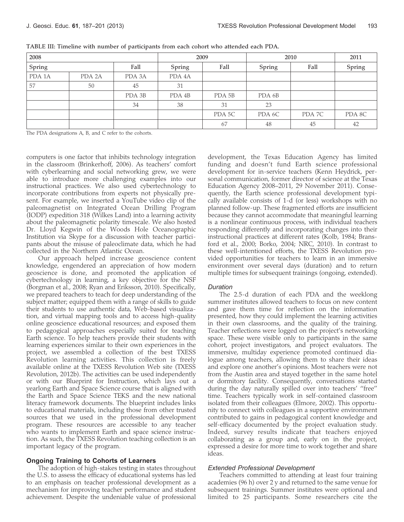| 2008           |        |        |        | 2009   | 2010   | 2011   |        |
|----------------|--------|--------|--------|--------|--------|--------|--------|
| Spring<br>Fall |        | Spring | Fall   | Spring | Fall   | Spring |        |
| PDA 1A         | PDA 2A | PDA 3A | PDA 4A |        |        |        |        |
| 57             | 50     | 45     | 31     |        |        |        |        |
|                |        | PDA 3B | PDA 4B | PDA 5B | PDA 6B |        |        |
|                |        | 34     | 38     | 31     | 23     |        |        |
|                |        |        |        | PDA 5C | PDA 6C | PDA 7C | PDA 8C |
|                |        |        |        | 67     | 48     | 45     | 42     |

TABLE III: Timeline with number of participants from each cohort who attended each PDA.

The PDA designations A, B, and C refer to the cohorts.

computers is one factor that inhibits technology integration in the classroom (Brinkerhoff, 2006). As teachers' comfort with cyberlearning and social networking grew, we were able to introduce more challenging examples into our instructional practices. We also used cybertechnology to incorporate contributions from experts not physically present. For example, we inserted a YouTube video clip of the paleomagnetist on Integrated Ocean Drilling Program (IODP) expedition 318 (Wilkes Land) into a learning activity about the paleomagnetic polarity timescale. We also hosted Dr. Lloyd Kegwin of the Woods Hole Oceanographic Institution via Skype for a discussion with teacher participants about the misuse of paleoclimate data, which he had collected in the Northern Atlantic Ocean.

Our approach helped increase geoscience content knowledge, engendered an appreciation of how modern geoscience is done, and promoted the application of cybertechnology in learning, a key objective for the NSF (Borgman et al., 2008; Ryan and Eriksson, 2010). Specifically, we prepared teachers to teach for deep understanding of the subject matter; equipped them with a range of skills to guide their students to use authentic data, Web-based visualization, and virtual mapping tools and to access high-quality online geoscience educational resources; and exposed them to pedagogical approaches especially suited for teaching Earth science. To help teachers provide their students with learning experiences similar to their own experiences in the project, we assembled a collection of the best TXESS Revolution learning activities. This collection is freely available online at the TXESS Revolution Web site (TXESS Revolution, 2012b). The activities can be used independently or with our Blueprint for Instruction, which lays out a yearlong Earth and Space Science course that is aligned with the Earth and Space Science TEKS and the new national literacy framework documents. The blueprint includes links to educational materials, including those from other trusted sources that we used in the professional development program. These resources are accessible to any teacher who wants to implement Earth and space science instruction. As such, the TXESS Revolution teaching collection is an important legacy of the program.

#### Ongoing Training to Cohorts of Learners

The adoption of high-stakes testing in states throughout the U.S. to assess the efficacy of educational systems has led to an emphasis on teacher professional development as a mechanism for improving teacher performance and student achievement. Despite the undeniable value of professional

development, the Texas Education Agency has limited funding and doesn't fund Earth science professional development for in-service teachers (Kenn Heydrick, personal communication, former director of science at the Texas Education Agency 2008–2011, 29 November 2011). Consequently, the Earth science professional development typically available consists of 1-d (or less) workshops with no planned follow-up. These fragmented efforts are insufficient because they cannot accommodate that meaningful learning is a nonlinear continuous process, with individual teachers responding differently and incorporating changes into their instructional practices at different rates (Kolb, 1984; Bransford et al., 2000; Borko, 2004; NRC, 2010). In contrast to these well-intentioned efforts, the TXESS Revolution provided opportunities for teachers to learn in an immersive environment over several days (duration) and to return multiple times for subsequent trainings (ongoing, extended).

#### **Duration**

The 2.5-d duration of each PDA and the weeklong summer institutes allowed teachers to focus on new content and gave them time for reflection on the information presented, how they could implement the learning activities in their own classrooms, and the quality of the training. Teacher reflections were logged on the project's networking space. These were visible only to participants in the same cohort, project investigators, and project evaluators. The immersive, multiday experience promoted continued dialogue among teachers, allowing them to share their ideas and explore one another's opinions. Most teachers were not from the Austin area and stayed together in the same hotel or dormitory facility. Consequently, conversations started during the day naturally spilled over into teachers' ''free'' time. Teachers typically work in self-contained classroom isolated from their colleagues (Elmore, 2002). This opportunity to connect with colleagues in a supportive environment contributed to gains in pedagogical content knowledge and self-efficacy documented by the project evaluation study. Indeed, survey results indicate that teachers enjoyed collaborating as a group and, early on in the project, expressed a desire for more time to work together and share ideas.

#### Extended Professional Development

Teachers committed to attending at least four training academies (96 h) over 2 y and returned to the same venue for subsequent trainings. Summer institutes were optional and limited to 25 participants. Some researchers cite the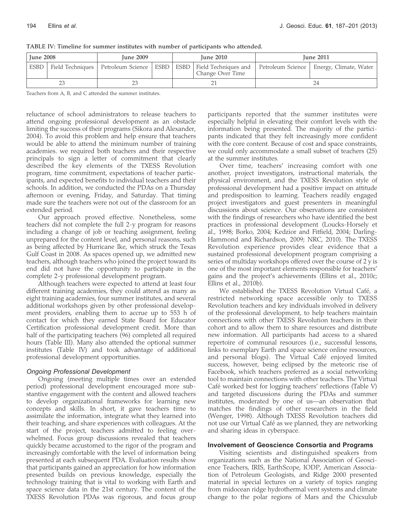| <b>Iune 2008</b> |  | <b>June 2009</b>                            |                                                 | <b>June 2010</b> | <b>June 2011</b> |                                            |  |
|------------------|--|---------------------------------------------|-------------------------------------------------|------------------|------------------|--------------------------------------------|--|
| <b>ESBD</b>      |  | Field Techniques   Petroleum Science   ESBD | ESBD   Field Techniques and<br>Change Over Time |                  |                  | Petroleum Science   Energy, Climate, Water |  |
|                  |  |                                             |                                                 |                  |                  |                                            |  |

TABLE IV: Timeline for summer institutes with number of participants who attended.

Teachers from A, B, and C attended the summer institutes.

reluctance of school administrators to release teachers to attend ongoing professional development as an obstacle limiting the success of their programs (Sikora and Alexander, 2004). To avoid this problem and help ensure that teachers would be able to attend the minimum number of training academies. we required both teachers and their respective principals to sign a letter of commitment that clearly described the key elements of the TXESS Revolution program, time commitment, expectations of teacher participants, and expected benefits to individual teachers and their schools. In addition, we conducted the PDAs on a Thursday afternoon or evening, Friday, and Saturday. That timing made sure the teachers were not out of the classroom for an extended period.

Our approach proved effective. Nonetheless, some teachers did not complete the full 2-y program for reasons including a change of job or teaching assignment, feeling unprepared for the content level, and personal reasons, such as being affected by Hurricane Ike, which struck the Texas Gulf Coast in 2008. As spaces opened up, we admitted new teachers, although teachers who joined the project toward its end did not have the opportunity to participate in the complete 2-y professional development program.

Although teachers were expected to attend at least four different training academies, they could attend as many as eight training academies, four summer institutes, and several additional workshops given by other professional development providers, enabling them to accrue up to 553 h of contact for which they earned State Board for Educator Certification professional development credit. More than half of the participating teachers (96) completed all required hours (Table III). Many also attended the optional summer institutes (Table IV) and took advantage of additional professional development opportunities.

## Ongoing Professional Development

Ongoing (meeting multiple times over an extended period) professional development encouraged more substantive engagement with the content and allowed teachers to develop organizational frameworks for learning new concepts and skills. In short, it gave teachers time to assimilate the information, integrate what they learned into their teaching, and share experiences with colleagues. At the start of the project, teachers admitted to feeling overwhelmed. Focus group discussions revealed that teachers quickly became accustomed to the rigor of the program and increasingly comfortable with the level of information being presented at each subsequent PDA. Evaluation results show that participants gained an appreciation for how information presented builds on previous knowledge, especially the technology training that is vital to working with Earth and space science data in the 21st century. The content of the TXESS Revolution PDAs was rigorous, and focus group

participants reported that the summer institutes were especially helpful in elevating their comfort levels with the information being presented. The majority of the participants indicated that they felt increasingly more confident with the core content. Because of cost and space constraints, we could only accommodate a small subset of teachers (25) at the summer institutes.

Over time, teachers' increasing comfort with one another, project investigators, instructional materials, the physical environment, and the TXESS Revolution style of professional development had a positive impact on attitude and predisposition to learning. Teachers readily engaged project investigators and guest presenters in meaningful discussions about science. Our observations are consistent with the findings of researchers who have identified the best practices in professional development (Loucks-Horsely et al., 1998; Borko, 2004; Kedzior and Fitfield, 2004; Darling-Hammond and Richardson, 2009; NRC, 2010). The TXESS Revolution experience provides clear evidence that a sustained professional development program comprising a series of multiday workshops offered over the course of 2 y is one of the most important elements responsible for teachers' gains and the project's achievements (Ellins et al., 2010c; Ellins et al., 2010b).

We established the TXESS Revolution Virtual Café, a restricted networking space accessible only to TXESS Revolution teachers and key individuals involved in delivery of the professional development, to help teachers maintain connections with other TXESS Revolution teachers in their cohort and to allow them to share resources and distribute new information. All participants had access to a shared repertoire of communal resources (i.e., successful lessons, links to exemplary Earth and space science online resources, and personal blogs). The Virtual Café enjoyed limited success, however, being eclipsed by the meteoric rise of Facebook, which teachers preferred as a social networking tool to maintain connections with other teachers. The Virtual Café worked best for logging teachers' reflections (Table V) and targeted discussions during the PDAs and summer institutes, moderated by one of us—an observation that matches the findings of other researchers in the field (Wenger, 1998). Although TXESS Revolution teachers did not use our Virtual Café as we planned, they are networking and sharing ideas in cyberspace.

#### Involvement of Geoscience Consortia and Programs

Visiting scientists and distinguished speakers from organizations such as the National Association of Geoscience Teachers, IRIS, EarthScope, IODP, American Association of Petroleum Geologists, and Ridge 2000 presented material in special lectures on a variety of topics ranging from midocean ridge hydrothermal vent systems and climate change to the polar regions of Mars and the Chicxulub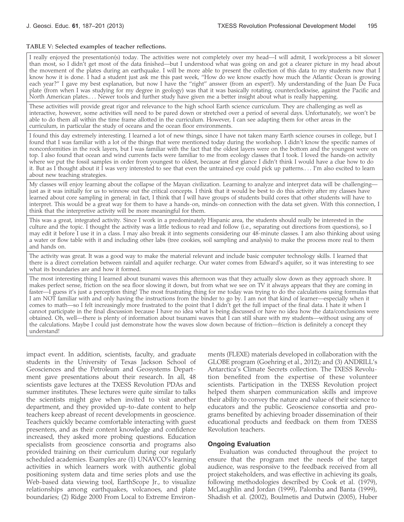#### TABLE V: Selected examples of teacher reflections.

I really enjoyed the presentation(s) today. The activities were not completely over my head—I will admit, I work/process a bit slower than most, so I didn't get most of the data finished—but I understood what was going on and got a clearer picture in my head about the movement of the plates during an earthquake. I will be more able to present the collection of this data to my students now that I know how it is done. I had a student just ask me this past week, ''How do we know exactly how much the Atlantic Ocean is growing each year?" I gave my best explanation, but now I have the "right" answer (from an expert!). My understanding of the Juan De Fuca plate (from when I was studying for my degree in geology) was that it was basically rotating, counterclockwise, against the Pacific and North American plates.... Newer tools and further study have given me a better insight about what is really happening.

These activities will provide great rigor and relevance to the high school Earth science curriculum. They are challenging as well as interactive, however, some activities will need to be pared down or stretched over a period of several days. Unfortunately, we won't be able to do them all within the time frame allotted in the curriculum. However, I can see adapting them for other areas in the curriculum, in particular the study of oceans and the ocean floor environments.

I found this day extremely interesting. I learned a lot of new things, since I have not taken many Earth science courses in college, but I found that I was familiar with a lot of the things that were mentioned today during the workshop. I didn't know the specific names of nonconformities in the rock layers, but I was familiar with the fact that the oldest layers were on the bottom and the youngest were on top. I also found that ocean and wind currents facts were familiar to me from ecology classes that I took. I loved the hands-on activity where we put the fossil samples in order from youngest to oldest, because at first glance I didn't think I would have a clue how to do it. But as I thought about it I was very interested to see that even the untrained eye could pick up patterns.... I'm also excited to learn about new teaching strategies.

My classes will enjoy learning about the collapse of the Mayan civilization. Learning to analyze and interpret data will be challenging just as it was initially for us to winnow out the critical concepts. I think that it would be best to do this activity after my classes have learned about core sampling in general; in fact, I think that I will have groups of students build cores that other students will have to interpret. This would be a great way for them to have a hands-on, minds-on connection with the data set given. With this connection, I think that the interpretive activity will be more meaningful for them.

This was a great, integrated activity. Since I work in a predominately Hispanic area, the students should really be interested in the culture and the topic. I thought the activity was a little tedious to read and follow (i.e., separating out directions from questions), so I may edit it before I use it in a class. I may also break it into segments considering our 48-minute classes. I am also thinking about using a water or flow table with it and including other labs (tree cookies, soil sampling and analysis) to make the process more real to them and hands on.

The activity was great. It was a good way to make the material relevant and include basic computer technology skills. I learned that there is a direct correlation between rainfall and aquifer recharge. Our water comes from Edward's aquifer, so it was interesting to see what its boundaries are and how it formed.

The most interesting thing I learned about tsunami waves this afternoon was that they actually slow down as they approach shore. It makes perfect sense, friction on the sea floor slowing it down, but from what we see on TV it always appears that they are coming in faster—I guess it's just a perception thing! The most frustrating thing for me today was trying to do the calculations using formulas that I am NOT familiar with and only having the instructions from the binder to go by. I am not that kind of learner—especially when it comes to math—so I felt increasingly more frustrated to the point that I didn't get the full impact of the final data. I hate it when I cannot participate in the final discussion because I have no idea what is being discussed or have no idea how the data/conclusions were obtained. Oh, well—there is plenty of information about tsunami waves that I can still share with my students—without using any of the calculations. Maybe I could just demonstrate how the waves slow down because of friction—friction is definitely a concept they understand!

impact event. In addition, scientists, faculty, and graduate students in the University of Texas Jackson School of Geosciences and the Petroleum and Geosystems Department gave presentations about their research. In all, 48 scientists gave lectures at the TXESS Revolution PDAs and summer institutes. These lectures were quite similar to talks the scientists might give when invited to visit another department, and they provided up-to-date content to help teachers keep abreast of recent developments in geoscience. Teachers quickly became comfortable interacting with guest presenters, and as their content knowledge and confidence increased, they asked more probing questions. Education specialists from geoscience consortia and programs also provided training on their curriculum during our regularly scheduled academies. Examples are (1) UNAVCO's learning activities in which learners work with authentic global positioning system data and time series plots and use the Web-based data viewing tool, EarthScope Jr., to visualize relationships among earthquakes, volcanoes, and plate boundaries; (2) Ridge 2000 From Local to Extreme Environ-

ments (FLEXE) materials developed in collaboration with the GLOBE program (Goehring et al., 2012); and (3) ANDRILL's Antarctica's Climate Secrets collection. The TXESS Revolution benefited from the expertise of these volunteer scientists. Participation in the TXESS Revolution project helped them sharpen communication skills and improve their ability to convey the nature and value of their science to educators and the public. Geoscience consortia and programs benefited by achieving broader dissemination of their educational products and feedback on them from TXESS Revolution teachers.

#### Ongoing Evaluation

Evaluation was conducted throughout the project to ensure that the program met the needs of the target audience, was responsive to the feedback received from all project stakeholders, and was effective in achieving its goals, following methodologies described by Cook et al. (1979), McLaughlin and Jordan (1999), Palomba and Banta (1999), Shadish et al. (2002), Boulmetis and Dutwin (2005), Huber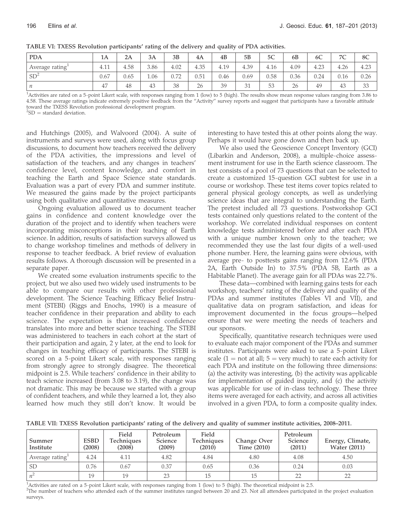| <b>PDA</b>                  | 1A   | 2A   | 3A   | 3B   | 4A   | 4 <sub>B</sub> | 5B   | 5C   | 6 <sub>B</sub> | 6C   | 7C<br>`U | 8C   |
|-----------------------------|------|------|------|------|------|----------------|------|------|----------------|------|----------|------|
| Average rating <sup>1</sup> | 4.11 | 4.58 | 3.86 | 4.02 | 4.35 | 4.19           | 4.39 | 4.16 | 4.09           | 4.23 | 4.26     | 4.23 |
| SD <sup>2</sup>             | 0.67 | 0.65 | 1.06 | 0.72 | 0.51 | 0.46           | 0.69 | 0.58 | 0.36           | 0.24 | 0.16     | 0.26 |
| $\boldsymbol{n}$            | 47   | 48   | 43   | 38   | 26   | 39             | 31   | 53   | 26             | 49   | 43       | 33   |

TABLE VI: TXESS Revolution participants' rating of the delivery and quality of PDA activities.

<sup>1</sup>Activities are rated on a 5-point Likert scale, with responses ranging from 1 (low) to 5 (high). The results show mean response values ranging from 3.86 to 4.58. These average ratings indicate extremely positive feedback from the ''Activity'' survey reports and suggest that participants have a favorable attitude toward the TXESS Revolution professional development program.

 ${}^{2}SD =$  standard deviation.

and Hutchings (2005), and Walvoord (2004). A suite of instruments and surveys were used, along with focus group discussions, to document how teachers received the delivery of the PDA activities, the impressions and level of satisfaction of the teachers, and any changes in teachers' confidence level, content knowledge, and comfort in teaching the Earth and Space Science state standards. Evaluation was a part of every PDA and summer institute. We measured the gains made by the project participants using both qualitative and quantitative measures.

Ongoing evaluation allowed us to document teacher gains in confidence and content knowledge over the duration of the project and to identify when teachers were incorporating misconceptions in their teaching of Earth science. In addition, results of satisfaction surveys allowed us to change workshop timelines and methods of delivery in response to teacher feedback. A brief review of evaluation results follows. A thorough discussion will be presented in a separate paper.

We created some evaluation instruments specific to the project, but we also used two widely used instruments to be able to compare our results with other professional development. The Science Teaching Efficacy Belief Instrument (STEBI) (Riggs and Enochs, 1990) is a measure of teacher confidence in their preparation and ability to each science. The expectation is that increased confidence translates into more and better science teaching. The STEBI was administered to teachers in each cohort at the start of their participation and again, 2 y later, at the end to look for changes in teaching efficacy of participants. The STEBI is scored on a 5-point Likert scale, with responses ranging from strongly agree to strongly disagree. The theoretical midpoint is 2.5. While teachers' confidence in their ability to teach science increased (from 3.08 to 3.19), the change was not dramatic. This may be because we started with a group of confident teachers, and while they learned a lot, they also learned how much they still don't know. It would be

interesting to have tested this at other points along the way. Perhaps it would have gone down and then back up.

We also used the Geoscience Concept Inventory (GCI) (Libarkin and Anderson, 2008), a multiple-choice assessment instrument for use in the Earth science classroom. The test consists of a pool of 73 questions that can be selected to create a customized 15-question GCI subtest for use in a course or workshop. These test items cover topics related to general physical geology concepts, as well as underlying science ideas that are integral to understanding the Earth. The pretest included all 73 questions. Postworkshop GCI tests contained only questions related to the content of the workshop. We correlated individual responses on content knowledge tests administered before and after each PDA with a unique number known only to the teacher; we recommended they use the last four digits of a well-used phone number. Here, the learning gains were obvious, with average pre- to posttests gains ranging from 12.6% (PDA 2A, Earth Outside In) to 37.5% (PDA 5B, Earth as a Habitable Planet). The average gain for all PDAs was 22.7%.

These data—combined with learning gains tests for each workshop, teachers' rating of the delivery and quality of the PDAs and summer institutes (Tables VI and VII), and qualitative data on program satisfaction, and ideas for improvement documented in the focus groups—helped ensure that we were meeting the needs of teachers and our sponsors.

Specifically, quantitative research techniques were used to evaluate each major component of the PDAs and summer institutes. Participants were asked to use a 5-point Likert scale ( $1 =$  not at all;  $5 =$  very much) to rate each activity for each PDA and institute on the following three dimensions: (a) the activity was interesting, (b) the activity was applicable for implementation of guided inquiry, and (c) the activity was applicable for use of in-class technology. These three items were averaged for each activity, and across all activities involved in a given PDA, to form a composite quality index.

TABLE VII: TXESS Revolution participants' rating of the delivery and quality of summer institute activities, 2008–2011.

| Summer<br>Institute         | ESBD<br>(2008) | Field<br>Techniques<br>(2008) | Petroleum<br>Science<br>(2009) | Field<br>Techniques<br>(2010) | Change Over<br>Time (2010) | Petroleum<br>Science<br>(2011) | Energy, Climate,<br><b>Water (2011)</b> |
|-----------------------------|----------------|-------------------------------|--------------------------------|-------------------------------|----------------------------|--------------------------------|-----------------------------------------|
| Average rating <sup>1</sup> | 4.24           | 4.11                          | 4.82                           | 4.84                          | 4.80                       | 4.08                           | 4.50                                    |
| <b>SD</b>                   | 0.76           | 0.67                          | 0.37                           | 0.65                          | 0.36                       | 0.24                           | 0.03                                    |
|                             | 19             | 19                            | 23                             | 15                            | 15                         | 22                             | 22                                      |

1 Activities are rated on a 5-point Likert scale, with responses ranging from 1 (low) to 5 (high). The theoretical midpoint is 2.5.

2 The number of teachers who attended each of the summer institutes ranged between 20 and 23. Not all attendees participated in the project evaluation surveys.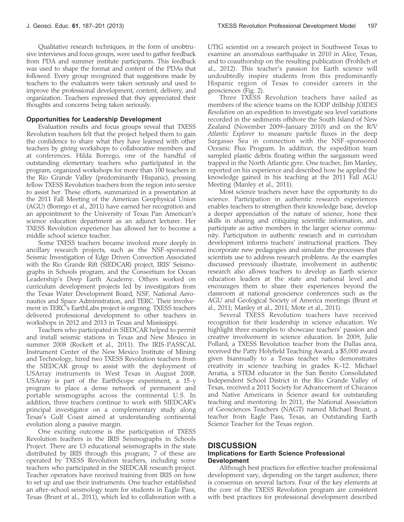Qualitative research techniques, in the form of unobtrusive interviews and focus groups, were used to gather feedback from PDA and summer institute participants. This feedback was used to shape the format and content of the PDAs that followed. Every group recognized that suggestions made by teachers to the evaluators were taken seriously and used to improve the professional development, content, delivery, and organization. Teachers expressed that they appreciated their thoughts and concerns being taken seriously.

## Opportunities for Leadership Development

Evaluation results and focus groups reveal that TXESS Revolution teachers felt that the project helped them to gain the confidence to share what they have learned with other teachers by giving workshops to collaborative members and at conferences. Hilda Borrego, one of the handful of outstanding elementary teachers who participated in the program, organized workshops for more than 100 teachers in the Rio Grande Valley (predominantly Hispanic), pressing fellow TXESS Revolution teachers from the region into service to assist her. These efforts, summarized in a presentation at the 2011 Fall Meeting of the American Geophysical Union (AGU) (Borrego et al., 2011) have earned her recognition and an appointment to the University of Texas Pan American's science education department as an adjunct lecturer. Her TXESS Revolution experience has allowed her to become a middle school science teacher.

Some TXESS teachers became involved more deeply in ancillary research projects, such as the NSF-sponsored Seismic Investigation of Edge Driven Convection Associated with the Rio Grande Rift (SIEDCAR) project, IRIS' Seismographs in Schools program, and the Consortium for Ocean Leadership's Deep Earth Academy. Others worked on curriculum development projects led by investigators from the Texas Water Development Board, NSF, National Aeronautics and Space Administration, and TERC. Their involvement in TERC's EarthLabs project is ongoing. TXESS teachers delivered professional development to other teachers in workshops in 2012 and 2013 in Texas and Mississippi.

Teachers who participated in SIEDCAR helped to permit and install seismic stations in Texas and New Mexico in summer 2008 (Rockett et al., 2011). The IRIS-PASSCAL Instrument Center of the New Mexico Institute of Mining and Technology, hired two TXESS Revolution teachers from the SIEDCAR group to assist with the deployment of USArray instruments in West Texas in August 2008. USArray is part of the EarthScope experiment, a 15-y program to place a dense network of permanent and portable seismographs across the continental U.S. In addition, three teachers continue to work with SIEDCAR's principal investigator on a complementary study along Texas's Gulf Coast aimed at understanding continental evolution along a passive margin.

One exciting outcome is the participation of TXESS Revolution teachers in the IRIS Seismographs in Schools Project. There are 13 educational seismographs in the state distributed by IRIS through this program; 7 of these are operated by TXESS Revolution teachers, including some teachers who participated in the SIEDCAR research project. Teacher operators have received training from IRIS on how to set up and use their instruments. One teacher established an after-school seismology team for students in Eagle Pass, Texas (Brunt et al., 2011), which led to collaboration with a

UTIG scientist on a research project in Southwest Texas to examine an anomalous earthquake in 2010 in Alice, Texas, and to coauthorship on the resulting publication (Frohlich et al., 2012). This teacher's passion for Earth science will undoubtedly inspire students from this predominantly Hispanic region of Texas to consider careers in the geosciences (Fig. 2).

Three TXESS Revolution teachers have sailed as members of the science teams on the IODP drillship JOIDES Resolution on an expedition to investigate sea level variations recorded in the sediments offshore the South Island of New Zealand (November 2009–January 2010) and on the R/V Atlantic Explorer to measure particle fluxes in the deep Sargasso Sea in connection with the NSF-sponsored Oceanic Flux Program. In addition, the expedition team sampled plastic debris floating within the sargassum weed trapped in the North Atlantic gyre. One teacher, Jim Manley, reported on his experience and described how he applied the knowledge gained in his teaching at the 2011 Fall AGU Meeting (Manley et al., 2011).

Most science teachers never have the opportunity to do science. Participation in authentic research experiences enables teachers to strengthen their knowledge base, develop a deeper appreciation of the nature of science, hone their skills in sharing and critiquing scientific information, and participate as active members in the larger science community. Participation in authentic research and in curriculum development informs teachers' instructional practices. They incorporate new pedagogies and simulate the processes that scientists use to address research problems. As the examples discussed previously illustrate, involvement in authentic research also allows teachers to develop as Earth science education leaders at the state and national level and encourages them to share their experiences beyond the classroom at national geoscience conferences such as the AGU and Geological Society of America meetings (Brunt et al., 2011; Manley et al., 2011; Mote et al., 2011).

Several TXESS Revolution teachers have received recognition for their leadership in science education. We highlight three examples to showcase teachers' passion and creative involvement in science education. In 2009, Julie Pollard, a TXESS Revolution teacher from the Dallas area, received the Patty Holyfield Teaching Award, a \$5,000 award given biannually to a Texas teacher who demonstrates creativity in science teaching in grades K–12. Michael Arratia, a STEM educator in the San Benito Consolidated Independent School District in the Rio Grande Valley of Texas, received a 2011 Society for Advancement of Chicanos and Native Americans in Science award for outstanding teaching and mentoring. In 2011, the National Association of Geosciences Teachers (NAGT) named Michael Brunt, a teacher from Eagle Pass, Texas, an Outstanding Earth Science Teacher for the Texas region.

## **DISCUSSION**

## Implications for Earth Science Professional Development

Although best practices for effective teacher professional development vary, depending on the target audience, there is consensus on several factors. Four of the key elements at the core of the TXESS Revolution program are consistent with best practices for professional development described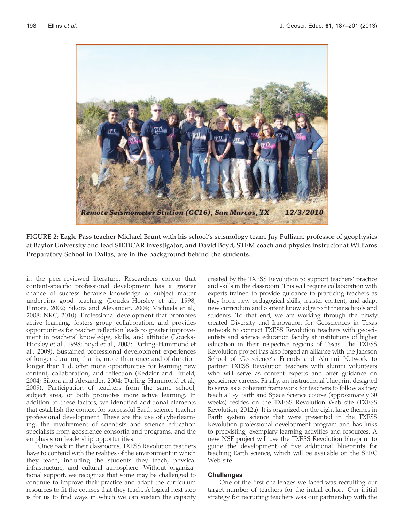

FIGURE 2: Eagle Pass teacher Michael Brunt with his school's seismology team. Jay Pulliam, professor of geophysics at Baylor University and lead SIEDCAR investigator, and David Boyd, STEM coach and physics instructor at Williams Preparatory School in Dallas, are in the background behind the students.

in the peer-reviewed literature. Researchers concur that content-specific professional development has a greater chance of success because knowledge of subject matter underpins good teaching (Loucks-Horsley et al., 1998; Elmore, 2002; Sikora and Alexander, 2004; Michaels et al., 2008; NRC, 2010). Professional development that promotes active learning, fosters group collaboration, and provides opportunities for teacher reflection leads to greater improvement in teachers' knowledge, skills, and attitude (Loucks-Horsley et al., 1998; Boyd et al., 2003; Darling-Hammond et al., 2009). Sustained professional development experiences of longer duration, that is, more than once and of duration longer than 1 d, offer more opportunities for learning new content, collaboration, and reflection (Kedzior and Fitfield, 2004; Sikora and Alexander, 2004; Darling-Hammond et al., 2009). Participation of teachers from the same school, subject area, or both promotes more active learning. In addition to these factors, we identified additional elements that establish the context for successful Earth science teacher professional development. These are the use of cyberlearning, the involvement of scientists and science education specialists from geoscience consortia and programs, and the emphasis on leadership opportunities.

Once back in their classrooms, TXESS Revolution teachers have to contend with the realities of the environment in which they teach, including the students they teach, physical infrastructure, and cultural atmosphere. Without organizational support, we recognize that some may be challenged to continue to improve their practice and adapt the curriculum resources to fit the courses that they teach. A logical next step is for us to find ways in which we can sustain the capacity

created by the TXESS Revolution to support teachers' practice and skills in the classroom. This will require collaboration with experts trained to provide guidance to practicing teachers as they hone new pedagogical skills, master content, and adapt new curriculum and content knowledge to fit their schools and students. To that end, we are working through the newly created Diversity and Innovation for Geosciences in Texas network to connect TXESS Revolution teachers with geoscientists and science education faculty at institutions of higher education in their respective regions of Texas. The TXESS Revolution project has also forged an alliance with the Jackson School of Geoscience's Friends and Alumni Network to partner TXESS Revolution teachers with alumni volunteers who will serve as content experts and offer guidance on geoscience careers. Finally, an instructional blueprint designed to serve as a coherent framework for teachers to follow as they teach a 1-y Earth and Space Science course (approximately 30 weeks) resides on the TXESS Revolution Web site (TXESS Revolution, 2012a). It is organized on the eight large themes in Earth system science that were presented in the TXESS Revolution professional development program and has links to preexisting, exemplary learning activities and resources. A new NSF project will use the TXESS Revolution blueprint to guide the development of five additional blueprints for teaching Earth science, which will be available on the SERC Web site.

#### **Challenges**

One of the first challenges we faced was recruiting our target number of teachers for the initial cohort. Our initial strategy for recruiting teachers was our partnership with the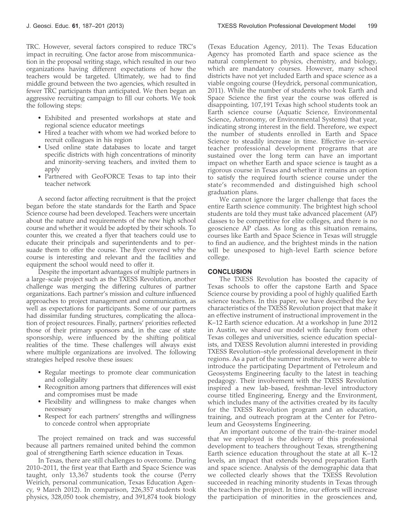TRC. However, several factors conspired to reduce TRC's impact in recruiting. One factor arose from miscommunication in the proposal writing stage, which resulted in our two organizations having different expectations of how the teachers would be targeted. Ultimately, we had to find middle ground between the two agencies, which resulted in fewer TRC participants than anticipated. We then began an aggressive recruiting campaign to fill our cohorts. We took the following steps:

- Exhibited and presented workshops at state and regional science educator meetings
- Hired a teacher with whom we had worked before to recruit colleagues in his region
- Used online state databases to locate and target specific districts with high concentrations of minority and minority-serving teachers, and invited them to apply
- Partnered with GeoFORCE Texas to tap into their teacher network

A second factor affecting recruitment is that the project began before the state standards for the Earth and Space Science course had been developed. Teachers were uncertain about the nature and requirements of the new high school course and whether it would be adopted by their schools. To counter this, we created a flyer that teachers could use to educate their principals and superintendents and to persuade them to offer the course. The flyer covered why the course is interesting and relevant and the facilities and equipment the school would need to offer it.

Despite the important advantages of multiple partners in a large-scale project such as the TXESS Revolution, another challenge was merging the differing cultures of partner organizations. Each partner's mission and culture influenced approaches to project management and communication, as well as expectations for participants. Some of our partners had dissimilar funding structures, complicating the allocation of project resources. Finally, partners' priorities reflected those of their primary sponsors and, in the case of state sponsorship, were influenced by the shifting political realities of the time. These challenges will always exist where multiple organizations are involved. The following strategies helped resolve these issues:

- Regular meetings to promote clear communication and collegiality
- Recognition among partners that differences will exist and compromises must be made
- Flexibility and willingness to make changes when necessary
- Respect for each partners' strengths and willingness to concede control when appropriate

The project remained on track and was successful because all partners remained united behind the common goal of strengthening Earth science education in Texas.

In Texas, there are still challenges to overcome. During 2010–2011, the first year that Earth and Space Science was taught, only 13,367 students took the course (Perry Weirich, personal communication, Texas Education Agency, 9 March 2012). In comparison, 226,357 students took physics, 328,050 took chemistry, and 391,874 took biology

(Texas Education Agency, 2011). The Texas Education Agency has promoted Earth and space science as the natural complement to physics, chemistry, and biology, which are mandatory courses. However, many school districts have not yet included Earth and space science as a viable ongoing course (Heydrick, personal communication, 2011). While the number of students who took Earth and Space Science the first year the course was offered is disappointing, 107,191 Texas high school students took an Earth science course (Aquatic Science, Environmental Science, Astronomy, or Environmental Systems) that year, indicating strong interest in the field. Therefore, we expect the number of students enrolled in Earth and Space Science to steadily increase in time. Effective in-service teacher professional development programs that are sustained over the long term can have an important impact on whether Earth and space science is taught as a rigorous course in Texas and whether it remains an option to satisfy the required fourth science course under the state's recommended and distinguished high school graduation plans.

We cannot ignore the larger challenge that faces the entire Earth science community. The brightest high school students are told they must take advanced placement (AP) classes to be competitive for elite colleges, and there is no geoscience AP class. As long as this situation remains, courses like Earth and Space Science in Texas will struggle to find an audience, and the brightest minds in the nation will be unexposed to high-level Earth science before college.

## **CONCLUSION**

The TXESS Revolution has boosted the capacity of Texas schools to offer the capstone Earth and Space Science course by providing a pool of highly qualified Earth science teachers. In this paper, we have described the key characteristics of the TXESS Revolution project that make it an effective instrument of instructional improvement in the K–12 Earth science education. At a workshop in June 2012 in Austin, we shared our model with faculty from other Texas colleges and universities, science education specialists, and TXESS Revolution alumni interested in providing TXESS Revolution–style professional development in their regions. As a part of the summer institutes, we were able to introduce the participating Department of Petroleum and Geosystems Engineering faculty to the latest in teaching pedagogy. Their involvement with the TXESS Revolution inspired a new lab-based, freshman-level introductory course titled Engineering, Energy and the Environment, which includes many of the activities created by its faculty for the TXESS Revolution program and an education, training, and outreach program at the Center for Petroleum and Geosystems Engineering.

An important outcome of the train-the-trainer model that we employed is the delivery of this professional development to teachers throughout Texas, strengthening Earth science education throughout the state at all K–12 levels, an impact that extends beyond preparation Earth and space science. Analysis of the demographic data that we collected clearly shows that the TXESS Revolution succeeded in reaching minority students in Texas through the teachers in the project. In time, our efforts will increase the participation of minorities in the geosciences and,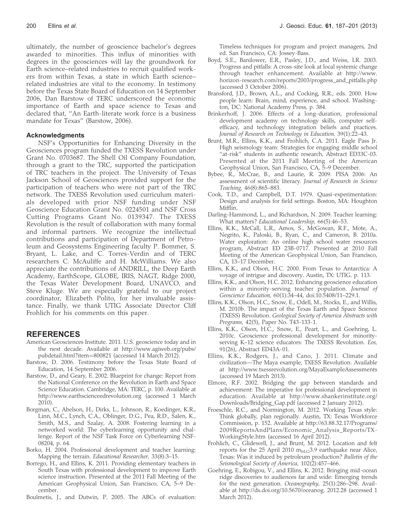ultimately, the number of geoscience bachelor's degrees awarded to minorities. This influx of minorities with degrees in the geosciences will lay the groundwork for Earth science–related industries to recruit qualified workers from within Texas, a state in which Earth science– related industries are vital to the economy. In testimony before the Texas State Board of Education on 14 September 2006, Dan Barstow of TERC underscored the economic importance of Earth and space science to Texas and declared that, ''An Earth-literate work force is a business mandate for Texas'' (Barstow, 2006).

## Acknowledgments

NSF's Opportunities for Enhancing Diversity in the Geosciences program funded the TXESS Revolution under Grant No. 0703687. The Shell Oil Company Foundation, through a grant to the TRC, supported the participation of TRC teachers in the project. The University of Texas Jackson School of Geosciences provided support for the participation of teachers who were not part of the TRC network. The TXESS Revolution used curriculum materials developed with prior NSF funding under NSF Geoscience Education Grant No. 0224501 and NSF Cross Cutting Programs Grant No. 0139347. The TXESS Revolution is the result of collaboration with many formal and informal partners. We recognize the intellectual contributions and participation of Department of Petroleum and Geosystems Engineering faculty P. Bommer, S. Bryant, L. Lake, and C. Torres-Verdin and of TERC researchers C. McAuliffe and H. McWilliams. We also appreciate the contributions of ANDRILL, the Deep Earth Academy, EarthScope, GLOBE, IRIS, NAGT, Ridge 2000, the Texas Water Development Board, UNAVCO, and Steve Kluge. We are especially grateful to our project coordinator, Elizabeth Polito, for her invaluable assistance. Finally, we thank UTIG Associate Director Cliff Frohlich for his comments on this paper.

# REFERENCES

- American Geosciences Institute. 2011. U.S. geoscience today and in the next decade. Available at http://www.agiweb.org/pubs/ pubdetail.html?item=800821 (accessed 14 March 2012).
- Barstow, D. 2006. Testimony before the Texas State Board of Education, 14 September 2006.
- Barstow, D., and Geary, E. 2002. Blueprint for change: Report from the National Conference on the Revolution in Earth and Space Science Education. Cambridge, MA: TERC, p. 100. Available at http://www.earthscienceedrevolution.org (accessed 1 March 2010).
- Borgman, C., Abelson, H., Dirks, L., Johnson, R., Koedinger, K.R., Linn, M.C., Lynch, C.A., Oblinger, D.G., Pea, R.D., Salen, K., Smith, M.S., and Szalay, A. 2008. Fostering learning in a networked world: The cyberlearning opportunity and challenge. Report of the NSF Task Force on Cyberlearning NSF-08204, p. 64.
- Borko, H. 2004. Professional development and teacher learning: Mapping the terrain. Educational Researcher, 33(8):3–15.
- Borrego, H., and Ellins, K. 2011. Providing elementary teachers in South Texas with professional development to improve Earth science instruction. Presented at the 2011 Fall Meeting of the American Geophysical Union, San Francisco, CA, 5–9 December.
- Boulmetis, J., and Dutwin, P. 2005. The ABCs of evaluation:

Timeless techniques for program and project managers, 2nd ed. San Francisco, CA: Jossey-Bass.

- Boyd, S.E., Banilower, E.R., Pasley, J.D., and Weiss, I.R. 2003. Progress and pitfalls: A cross-site look at local systemic change through teacher enhancement. Available at http://www. horizon-research.com/reports/2003/progress\_and\_pitfalls.php (accessed 3 October 2006).
- Bransford, J.D., Brown, A.L., and Cocking, R.R., eds. 2000. How people learn: Brain, mind, experience, and school. Washington, DC: National Academy Press, p. 384.
- Brinkerhoff, J. 2006. Effects of a long-duration, professional development academy on technology skills, computer selfefficacy, and technology integration beliefs and practices. Journal of Research on Technology in Education, 39(1):22–43.
- Brunt, M.R., Ellins, K.K., and Frohlich, C.A. 2011. Eagle Pass Jr. High seismology team: Strategies for engaging middle school ''at-risk'' students in authentic research, Abstract ED33C-03. Presented at the 2011 Fall Meeting of the American Geophysical Union, San Francisco, CA, 5–9 December.
- Bybee, R., McCrae, B., and Laurie, R. 2009. PISA 2006: An assessment of scientific literacy. Journal of Research in Science Teaching, 46(8):865–883.
- Cook, T.D., and Campbell, D.T. 1979. Quasi-experimentation: Design and analysis for field settings. Boston, MA: Houghton Mifflin.
- Darling-Hammond, L., and Richardson, N. 2009. Teacher learning: What matters? Educational Leadership, 66(5):46–53.
- Ellins, K.K., McCall, L.R., Amos, S., McGowan, R.F., Mote, A., Negrito, K., Paloski, B., Ryan, C., and Cameron, B. 2010a. Water exploration: An online high school water resources program, Abstract ED 23B-0717. Presented at 2010 Fall Meeting of the American Geophysical Union, San Francisco, CA, 13–17 December.
- Ellins, K.K., and Olson, H.C. 2000. From Texas to Antarctica: A voyage of intrigue and discovery. Austin, TX: UTIG. p. 113.
- Ellins, K.K., and Olson, H.C. 2012. Enhancing geoscience education within a minority-serving teacher population. Journal of Geoscience Education, 60(1):34–44, doi:10.5408/11–229.1.
- Ellins, K.K., Olson, H.C., Snow, E., Odell, M., Stocks, E., and Willis, M. 2010b. The impact of the Texas Earth and Space Science (TXESS) Revolution. Geological Society of America Abstracts with Programs, 42(5), Paper No. T43-133-1.
- Ellins, K.K., Olson, H.C., Snow, E., Peart, L., and Goehring, L. 2010c. Geoscience professional development for minorityserving K–12 science educators: The TXESS Revolution. Eos, 91(26), Abstract ED43A-01.
- Ellins, K.K., Rodgers, J., and Cano, J. 2011. Climate and civilization—The Maya example, TXESS Revolution. Available at http://www.txessrevolution.org/MayaExampleAssessments (accessed 19 March 2013).
- Elmore, R.F. 2002. Bridging the gap between standards and achievement: The imperative for professional development in education. Available at http://www.shankerinstitute.org/ Downloads/Bridging\_Gap.pdf (accessed 2 January 2012).
- Froeschle, R.C., and Normington, M. 2012. Working Texas style: Think globally, plan regionally. Austin, TX: Texas Workforce Commission, p. 152. Available at http://63.88.32.17/Programs/ 2009ReportsAndPlans/Economic\_Analysis\_Reports/TX-WorkingStyle.htm (accessed 16 April 2012).
- Frohlich, C., Glidewell, J., and Brunt, M. 2012. Location and felt reports for the 25 April 2010  $m_{bLG}$ 3.9 earthquake near Alice, Texas: Was it induced by petroleum production? Bulletin of the Seismological Society of America, 102(2):457-466.
- Goehring, E., Robigou, V., and Ellins, K. 2012. Bringing mid-ocean ridge discoveries to audiences far and wide: Emerging trends for the next generation. Oceanography, 25(1):286–298. Available at http://dx.doi.org/10.5670/oceanog. 2012.28 (accessed 1 March 2012).